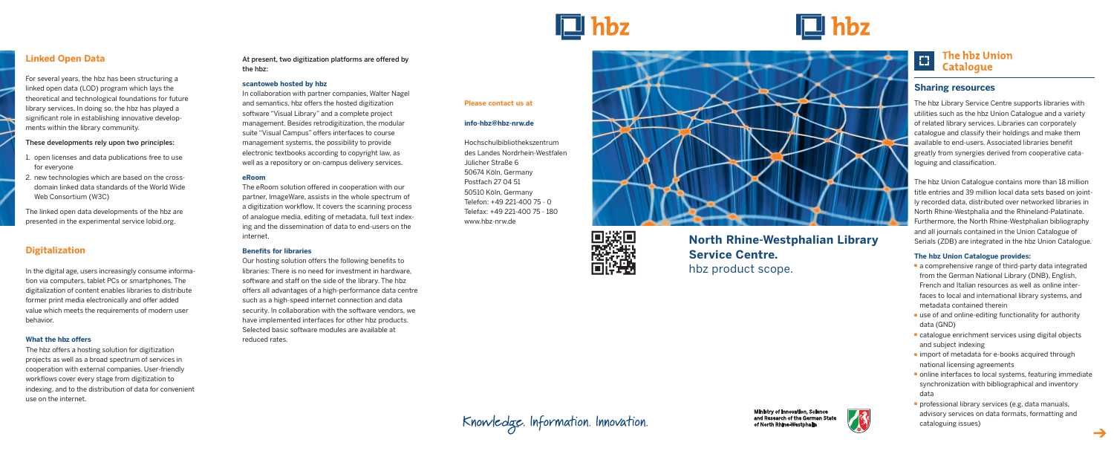#### **Please contact us at**

#### **info-hbz@hbz-nrw.de**

Hochschulbibliothekszentrum des Landes Nordrhein-Westfalen Jülicher Straße 6 50674 Köln, Germany Postfach 27 04 51 50510 Köln, Germany Telefon: +49 221-400 75 - 0 Telefax: +49 221-400 75 - 180 www.hbz-nrw.de





# Knowledge. Information. Innovation.



# **North Rhine-Westphalian Library Service Centre.**

hbz product scope.



#### **The hbz Union** E. **Catalogue**

# **Sharing resources**

The hbz Library Service Centre supports libraries with utilities such as the hbz Union Catalogue and a variety of related library services. Libraries can corporately catalogue and classify their holdings and make them available to end-users. Associated libraries benefit greatly from synergies derived from cooperative cataloguing and classification.

The hbz Union Catalogue contains more than 18 million title entries and 39 million local data sets based on jointly recorded data, distributed over networked libraries in North Rhine-Westphalia and the Rhineland-Palatinate. Furthermore, the North Rhine-Westphalian bibliography and all journals contained in the Union Catalogue of Serials (ZDB) are integrated in the hbz Union Catalogue.

- a comprehensive range of third-party data integrated from the German National Library (DNB), English, French and Italian resources as well as online interfaces to local and international library systems, and metadata contained therein
- use of and online-editing functionality for authority data (GND)
- catalogue enrichment services using digital objects and subject indexing
- import of metadata for e-books acquired through national licensing agreements
- online interfaces to local systems, featuring immediate synchronization with bibliographical and inventory data
- professional library services (e.g. data manuals, advisory services on data formats, formatting and cataloguing issues)

#### **The hbz Union Catalogue provides:**



# **Linked Open Data**

For several years, the hbz has been structuring a linked open data (LOD) program which lays the theoretical and technological foundations for future library services. In doing so, the hbz has played a significant role in establishing innovative developments within the library community.

#### These developments rely upon two principles:

- 1. open licenses and data publications free to use for everyone
- 2. new technologies which are based on the crossdomain linked data standards of the World Wide Web Consortium (W3C)

The linked open data developments of the hbz are presented in the experimental service lobid.org.

# **Digitalization**

In the digital age, users increasingly consume information via computers, tablet PCs or smartphones. The digitalization of content enables libraries to distribute former print media electronically and offer added value which meets the requirements of modern user behavior.

#### **What the hbz offers**

The hbz offers a hosting solution for digitization projects as well as a broad spectrum of services in cooperation with external companies. User-friendly workflows cover every stage from digitization to indexing, and to the distribution of data for convenient use on the internet.

At present, two digitization platforms are offered by the hbz:

#### **scantoweb hosted by hbz**

In collaboration with partner companies, Walter Nagel and semantics, hbz offers the hosted digitization software "Visual Library" and a complete project management. Besides retrodigitization, the modular suite "Visual Campus" offers interfaces to course management systems, the possibility to provide electronic textbooks according to copyright law, as well as a repository or on-campus delivery services.

#### **eRoom**

The eRoom solution offered in cooperation with our partner, ImageWare, assists in the whole spectrum of a digitization workflow. It covers the scanning process of analogue media, editing of metadata, full text indexing and the dissemination of data to end-users on the internet.

#### **Benefits for libraries**

Our hosting solution offers the following benefits to libraries: There is no need for investment in hardware, software and staff on the side of the library. The hbz offers all advantages of a high-performance data centre such as a high-speed internet connection and data security. In collaboration with the software vendors, we have implemented interfaces for other hbz products. Selected basic software modules are available at reduced rates.